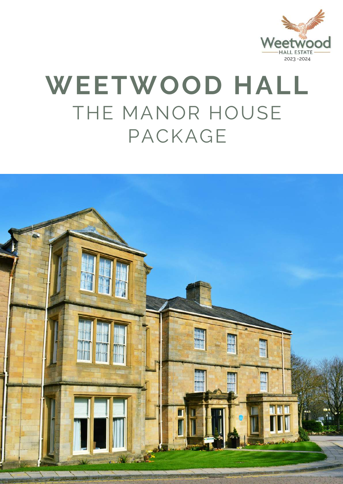

## **WEETWOOD HALL** THE MANOR HOUSE PACKAGE

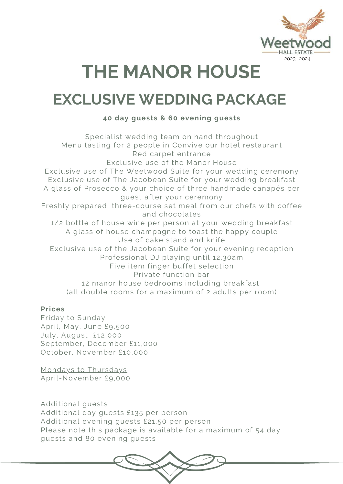

### **THE MANOR HOUSE**

### **EXCLUSIVE WEDDING PACKAGE**

#### **40 day guests & 60 evening guests**

Specialist wedding team on hand throughout Menu tasting for 2 people in Convive our hotel restaurant Red carpet entrance Exclusive use of the Manor House Exclusive use of The Weetwood Suite for your wedding ceremony Exclusive use of The Jacobean Suite for your wedding breakfast A glass of Prosecco & your choice of three handmade canapés per guest after your ceremony Freshly prepared, three-course set meal from our chefs with coffee and chocolates 1/2 bottle of house wine per person at your wedding breakfast A glass of house champagne to toast the happy couple Use of cake stand and knife Exclusive use of the Jacobean Suite for your evening reception Professional DJ playing until 12.30am Five item finger buffet selection Private function bar 12 manor house bedrooms including breakfast (all double rooms for a maximum of 2 adults per room)

#### **Prices**

Friday to Sunday April, May, June £9,500 July, August £12,000 September, December £11,000 October, November £10,000

Mondays to Thursdays April-November £9,000

Additional guests Additional day guests £135 per person Additional evening guests £21.50 per person Please note this package is available for a maximum of 54 day guests and 80 evening guests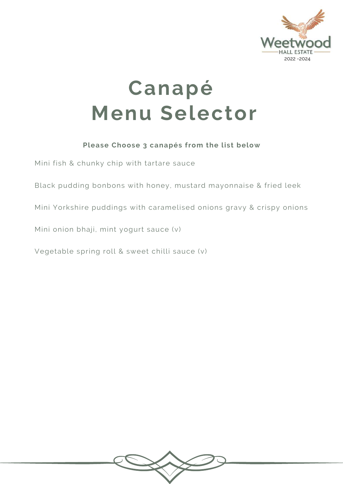

### **Canapé Menu Selector**

#### **Please Choose 3 canapés from the list below**

Mini fish & chunky chip with tartare sauce

Black pudding bonbons with honey, mustard mayonnaise & fried leek

Mini Yorkshire puddings with caramelised onions gravy & crispy onions

Mini onion bhaji, mint yogurt sauce (v)

Vegetable spring roll & sweet chilli sauce (v)